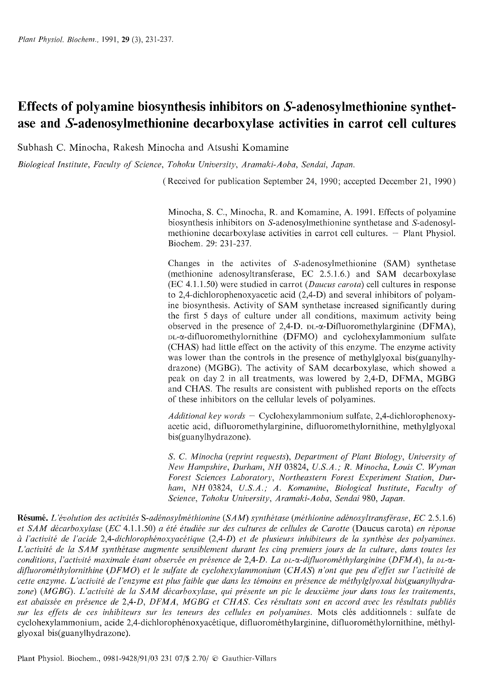# **Effects of polyamine biosynthesis inhibitors on S-adenosylmethionine synthetase and S-adenosylmethionine decarboxylase activities in carrot cell cultures**

Subhash C. Minocha, Rakesh Minocha and Atsushi Komamine

*Biological Institute, Faculty of Science, Toliolcu University, Araniaki-Aoba, Sendai, Japan.* 

*(Received for publication September 24, 1990; accepted December 21, 1990)* 

*Minocha, S. C., Minocha, R. and Komamine, A. 1991. Effects of polyamine biosynthesis inhibitors on S-adenosylmethioninc synthetase and S-adenosylmethionine decarboxylase activities in carrot cell cultures. - Plant Physiol. Biochem. 29: 23 1-237.* 

*Changes in the activites of S-adcnosylmethionine (SAM) synthetase (methionine adenosyltransferase, EC 2.5.1.6.) and SAM decarboxylase (EC 4.1.1.50) werc studied in carrot (Daucus carota) cell cultures in response to* 2,4-dichlorophenoxyacetic *acid (2,4-D) and several inhibitors of polyamine biosynthesis. Activity of SAM synthetase increased significantly during the first 5 days of culture under all conditions, maximum activity being observed in thc prcsencc of 2,4-D.* DL-a-Difluoromethylarginine *(DFMA),*  I,L-a-difluoroinethylornithine *(DFMO) and cyclohexylammonium sulfatc (CHAS) had little effect on the activity of this enzyme. The enzyme activity was lower than the controls in the presence of methylglyoxal bis(guany1hy*drazone) (MGBG). The activity of SAM decarboxylase, which showed a *peak on day 2 in all trcatmcnts, was lowered by 2,4-D, DFMA, MGBG and CHAS. The results are consistent with published reports on the effects of these inhibitors on the ccllular lcvcls of polyainines.* 

Additional key words - Cyclohexylammonium sulfate, 2,4-dichlorophenoxy*acetic acid, difluoromethylargininc,* difluoron~ethylornithine, *methylglyoxal bis(guany1hydrazone).* 

*S. C. Minocha (reprint requests), Department of Plant Biology, University of New Hampshire, Durham, NH 03824, U.S.A.; R. Minocha, Louis C. Wyman* Forest Sciences Laboratory, Northeastern Forest Experiment Station, Durham, NH 03824, U.S.A.; A. Komamine, Biological Institute, Faculty of *Science, Tohoku University, Aramaki-Aoba, Sendai 980, Japan.* 

**Résumé.** *L'évolution des activités S-adénosylméthionine (SAM) synthétase (méthionine adénosyltransférase, EC 2.5.1.6) et SAM décarboxylase (EC 4.1.1.50) a été étudiée sur des cultures de cellules de Carotte (Daucus carota) en réponse*  $\dot{a}$  l'activité de l'acide 2,4-dichlorophénoxyacétique (2,4-D) et de plusieurs inhibiteurs de la synthèse des polyamines. L'activité de la SAM synthétase augmente sensiblement durant les cinq premiers jours de la culture, dans toutes les conditions, l'activité maximale étant observée en présence de 2,4-D. La <sub>DL-</sub>α-difluorométhylarginine (DFMA), la <sub>DL-</sub>αdifluorométhylornithine (DFMO) et le sulfate de cyclohexylammonium (CHAS) n'ont que peu d'effet sur l'activité de cette enzyme. L'activité de l'enzyme est plus faible que dans les témoins en présence de méthylglyoxal bis(guanylhydrazone) (MGBG). L'activité de la SAM décarboxylase, qui présente un pic le deuxième jour dans tous les traitements, est abaissée en présence de 2,4-D, DFMA, MGBG et CHAS. Ces résultats sont en accord avec les résultats publiés *sur bs eflets de ces inhibiteurs sur les teneurs des cellules en polyaniines. Mots cles additionnels* : *sulfate de*   $c$ yclohexylammonium, acide 2.4-dichlorophénoxyacétique, difluorométhylarginine, difluorométhylornithine, méthyl*glyoxal bis(guany1 hydrazone).*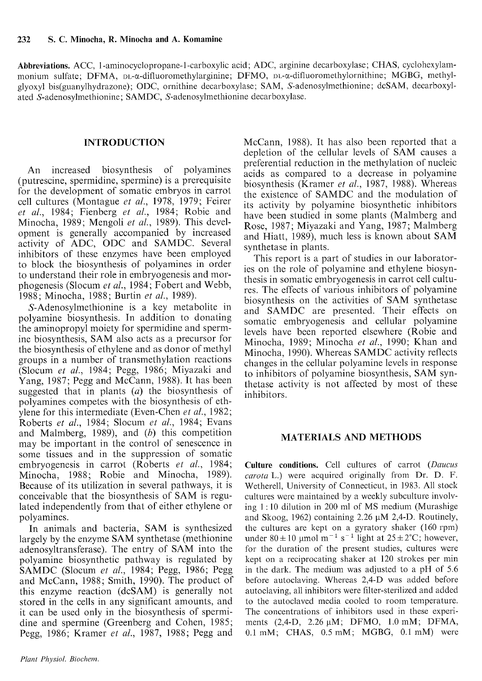**Abbreviations.** ACC, **1-aminocyclopropane-1-carboxylic** acid; ADC, arginine decarboxylase; CHAS, cyclohexylammonium sulfate; DFMA, DL-x-difluoromethylarginine; DFMO, DL-x-difluoromethylornithine; MGBG, methylglyoxyl bis(guany1hydrazone); ODC, ornithine decarboxylase; SAM, S-adenosylmethionine; dcSAM, decarboxylated S-adenosylmethionine; SAMDC, S-adenosylmethionine dccarboxylase.

## **INTRODUCTION**

An increased biosynthesis of polyamines (putrescine, spermidine, spermine) is a prerequisite for the development of somatic embryos in carrot cell cultures (Montague *et al.,* 1978, 1979; Feirer *et al.,* 1984; Fienberg *et al.,* 1984; Robie and Minocha, 1989; Mengoli *et al.,* 1989). This development is generally accompanied by increased activity of ADC, ODC and SAMDC. Several inhibitors of these enzymes have been employed to block the biosynthesis of polyamines in order to understand their role in embryogenesis and morphogenesis (Slocum *et al.,* 1984; Fobert and Webb, 1988; Minocha, 1988; Burtin *et al.,* 1989).

S-Adenosylmethionine is a key metabolite in polyamine biosynthesis. In addition to donating the aminopropyl moiety for spermidine and spermine biosynthesis, SAM also acts as a precursor for the biosynthesis of ethylene and as donor of methyl groups in a number of transmethylation reactions (Slocum *et al.,* 1984; Pegg, 1986; Miyazaki and Yang, 1987; Pegg and McCann, 1988). It has been suggested that in plants *(a)* the biosynthesis of polyamines competes with the biosynthesis of ethylene for this intermediate (Even-Chen *et al.,* 1982; Roberts *et al.,* 1984; Slocum *et al.,* 1984; Evans and Malmberg, 1989), and *(h)* this competition may be important in the control of senescence in some tissues and in the suppression of somatic embryogenesis in carrot (Roberts *et al.,* 1984; Minocha, 1988; Robie and Minocha, 1989). Because of its utilization in several pathways, it is conceivable that the biosynthesis of SAM is regulated independently from that of either ethylene or polyamines.

In animals and bacteria, SAM is synthesized largely by the enzyme SAM synthetase (methionine adenosyltransferase). The entry of SAM into the polyamine biosynthetic pathway is regulated by SAMDC (Slocum *et al.,* 1984; Pegg, 1986; Pegg and McCann, 1988; Smith, 1990). The product of this enzyme reaction (dcSAM) is generally not stored in the cells in any significant amounts, and it can be used only in the biosynthesis of spermidine and spermine (Greenberg and Cohen, 1985; Pegg, 1986; Kramer et al., 1987, 1988; Pegg and McCann, 1988). It has also been reported that a depletion of the cellular levels of SAM causes a preferential reduction in the methylation of nucleic acids as compared to a decrease in polyamine biosynthesis (Kramer *et al.*, 1987, 1988). Whereas the existence of SAMDC and the modulation of its activity by polyamine biosynthetic inhibitors have been studied in some plants (Malmberg and Rose, 1987; Miyazaki and Yang, 1987; Malmberg and Hiatt, 1989), much less is known about SAM synthetase in plants.

This report is a part of studies in our laboratories on the role of polyamine and ethylene biosynthesis in somatic embryogenesis in carrot cell cultures. The effects of various inhibitors of polyamine biosynthesis on the activities of SAM synthetase and SAMDC are presented. Their effects on somatic embryogenesis and cellular polyamine levels have been reported elsewhere (Robie and Minocha, 1989; Minocha *et al.,* 1990; Khan and Minocha, 1990). Whereas SAMDC activity reflects changes in the cellular polyamine levels in response to inhibitors of polyamine biosynthesis, SAM synthetase activity is not affected by most of these inhibitors.

## **MATERIALS AND METHODS**

Culture conditions. Cell cultures of carrot (Daucus  $carota$  L.) were acquired originally from Dr. D. F. Wetherell, University of Connecticut, in 1983. All stock cultures wcrc maintained by a weekly subculture involving  $1:10$  dilution in 200 ml of MS medium (Murashige and Skoog, 1962) containing  $2.26 \mu M$  2,4-D. Routinely, the cultures are kcpt on a gyratory shaker (160 rpm) under  $80 \pm 10$  µmol m<sup>-1</sup> s<sup>-1</sup> light at  $25 \pm 2$ °C; however, for the duration of the present studies, cultures were kept on a reciprocating shaker at 120 strokes per min in the dark. Thc medium was adjusted to a pH of 5.6 before autoclaving. Whereas 2,4-D was added before autoclaving, all inhibitors were filter-sterilized and addcd to the autoclaved media cooled to room temperature. The concentrations of inhibitors used in these experiments (2,4-D, 2.26  $\mu$ M; DFMO, 1.0 mM; DFMA,  $0.1 \text{ mM}$ ; CHAS,  $0.5 \text{ mM}$ ; MGBG,  $0.1 \text{ mM}$ ) were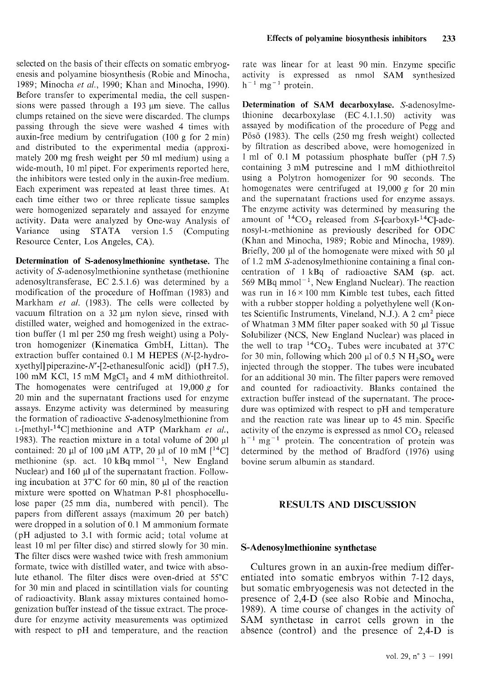selected on the basis of their effects on somatic embryogenesis and polyamine biosynthesis (Robie and Minocha, 1989; Minocha *et* nl., 1990; Khan and Minocha, 1990). Before transfer to experimental media, the ccll suspensions were passed through a  $193 \mu m$  sieve. The callus clumps retained on the sieve were discarded. The clumps passing through the sieve were washed 4 times with auxin-free medium by centrifugation (100 g for 2 min) and distributed to the experimental media (approximately 200 mg frcsh weight per 50 ml medium) using a wide-mouth, 10 ml pipet. For experiments reported here, the inhibitors were tested only in the auxin-free medium. Each experiment was repeated at least three times. At each time either two or threc replicate tissuc samples were homogenized separately and assayed for enzyme activity. Data were analyzed by One-way Analysis of Variance using STATA version 1.5 (Computing Resource Center, Los Angeles, CA).

**Determination of S-adenosylmethionine synthetase.** The activity of S-adenosylmethionine synthetase (methionine adenosyltransferase, EC 2.5.1.6) was determined by a modification of the procedure of Hoffman (1983) and Markham *et al.* (1983). The cells were collected by vacuum filtration on a  $32 \mu m$  nylon sieve, rinsed with distilled water, weighed and homogenized in the extraction buffer (1 ml per 250 mg fresh weight) using a Polytron homogenizer (Kincmatica GmbH, Littan). The extraction buffer contained 0.1 M HEPES (N-[2-hydroxyethyl] piperazine-N'-[2-ethanesulfonic acid]) ( $pH 7.5$ ), 100 mM KCl, 15 mM  $MgCl<sub>2</sub>$  and 4 mM dithiothreitol. The homogenates were centrifuged at 19,000 g for 20 min and the supernatant fractions used for enzyme assays. Enzyme activity was determined by measuring the formation of radioactive S-adenosylmethionine from L-[methyl-<sup>14</sup>C] methionine and ATP (Markham *et al.*, 1983). The reaction mixture in a total volume of  $200 \mu l$ contained: 20 µl of 100 µM ATP, 20 µl of 10 mM  $[^{14}C]$ methionine (sp. act. 10 kBq mmol<sup>-1</sup>, New England Nuclear) and 160 µl of the supernatant fraction. Following incubation at  $37^{\circ}$ C for 60 min, 80  $\mu$ l of the reaction mixture were spotted on Whatman P-81 phosphocellulose paper (25 mm dia, numbered with pencil). The papers from different assays (maximum 20 per batch) were dropped in a solution of  $0.1$  M ammonium formate (pH adjusted to 3.1 with formic acid; total volume at least 10 ml per filter disc) and stirred slowly for 30 min. The filter discs were washed twice with fresh ammonium formate, twice with distilled water, and twice with absolute ethanol. The filter discs were oven-dried at 55°C for 30 min and placed in scintillation vials for counting of radioactivity. Blank assay mixtures contained homogenization buffer instead of the tissue extract. The procedure for enzyme activity measurements was optimized with respect to pH and temperature, and the reaction

rate was linear for at least 90 min. Enzyme specific activity is expressed as nmol SAM synthesized  $h^{-1}$  mg<sup>-1</sup> protein.

**Determination of SAM decarboxylase.** S-adenosylmethionine decarboxylase  $(EC 4.1.1.50)$  activity was assayed by modification of the procedure of Pegg and Pösö (1983). The cells (250 mg fresh weight) collected by filtration as described above, were homogenized in 1 ml of 0.1 M potassium phosphatc buffer (pH 7.5) containing 3 mM putrescine and 1 mM dithiothreitol using a Polytron homogenizer for 90 seconds. The homogenates were centrifuged at 19,000 g for 20 min and the supernatant fractions used for enzyme assays. The enzyme activity was determined by measuring the amount of  ${}^{14}CO_2$  released from S-[carboxyl- ${}^{14}Cl$ -adenosyl-L-methionine as previously described for ODC (Khan and Minocha, 1989; Robie and Minocha, 1989). Briefly, 200  $\mu$ l of the homogenate were mixed with 50  $\mu$ l of 1.2 mM S-adenosylmethionine containing a final concentration of 1 kBq of radioactive SAM (sp. act. 569 MBq mmol<sup> $-1$ </sup>, New England Nuclear). The reaction was run in  $16 \times 100$  mm Kimble test tubes, each fitted with a rubber stopper holding a polyethylene well (Kontes Scientific Instruments, Vineland, N.J.). A 2 cm<sup>2</sup> piece of Whatman 3 MM filter paper soaked with 50 ul Tissue Solubilizer (NCS, New England Nuclear) was placed in the well to trap  ${}^{14}CO_2$ . Tubes were incubated at 37°C for 30 min, following which 200  $\mu$ l of 0.5 N H<sub>2</sub>SO<sub>4</sub> were injected through the stopper. The tubes were incubated for an additional 30 min. The filter papers were removed and counted for radioactivity. Blanks contained the extraction buffer instead of the supernatant. The procedure was optimized with respect to pH and tcmpcrature and the reaction rate was linear up to 45 min. Specific activity of the enzyme is expressed as nmol CO, relcascd  $h^{-1}$  mg<sup>-1</sup> protein. The concentration of protein was determined by the method of Bradford (1976) using bovine serum albumin as standard.

#### **RESULTS AND DISCUSSION**

#### **S-Adenosylmethionine synthetase**

Cultures grown in an auxin-free medium differentiated into somatic embryos within 7-12 days, but somatic embryogenesis was not detected in the presence of 2,4-D (see also Robie and Minocha, 1989). A time course of changes in the activity of SAM synthetase in carrot cells grown in the absence (control) and the presence of 2,4-D is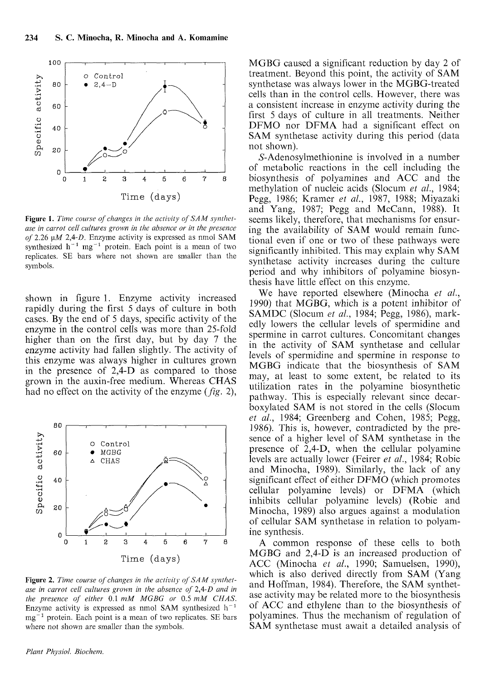

**Figure 1.** Time course of changes in the activity of SAM synthet*ase in carrot cell cultures grown in the absence or in the presence of 2.26 pM* 2,4-0. Enzyme activity is expressed as ninol SAM synthesized  $h^{-1}$  mg<sup>-1</sup> protein. Each point is a mean of two replicates. SE bars where not shown arc smaller than the symbols.

shown in figure 1. Enzyme activity increased rapidly during the first 5 days of culture in both cases. By the end of 5 days, specific activity of the enzyme in the control cells was more than 25-fold higher than on the first day, but by day 7 the enzyme activity had fallen slightly. The activity of this enzyme was always higher in cultures grown in the presence of 2,4-D as compared to those grown in the auxin-free medium. Whereas CHAS had no effect on the activity of the enzyme (fig. 2),



Figure 2. Time course of changes in the activity of SAM synthet*ase in carrot cell cultures grown in the absence of 2,4-D and in the presence of either 0.1 mM MGBG or 0.5 mM CHAS.* Enzyme activity is expressed as nmol SAM synthesized  $h^{-1}$  $mg^{-1}$  protein. Each point is a mean of two replicates. SE bars where not shown are smaller than the symbols.

*Plant Phj'siot. Biochem.* 

MGBG caused a significant reduction by day 2 of treatment. Beyond this point, the activity of SAM synthetase was always lower in the MGBG-treated cells than in the control cells. However, there was a consistent increase in enzyme activity during the first 5 days of culture in all treatments. Neither DFMO nor DFMA had a significant effect on SAM synthetase activity during this period (data not shown).

S-Adenosylmethionine is involved in a number of metabolic reactions in the cell including the biosynthesis of polyamines and ACC and the methylation of nucleic acids (Slocum *et nl.,* 1984; Pegg, 1986; Kramer *et nl.,* 1987, 1988; Miyazaki and Yang, 1987; Pegg and McCann, 1988). It seems likely, therefore, that mechanisms for ensuring the availability of SAM would remain functional even if one or two of these pathways were significantly inhibited. This may explain why SAM synthetase activity increases during the culture period and why inhibitors of polyamine biosynthesis have little effect on this enzyme.

We have reported elsewhere (Minocha *et al.,*  1990) that MGBG, which is a potent inhibitor of SAMDC (Slocum *et al.,* 1984; Pegg, 1986), markedly lowers the cellular levels of spermidine and spermine in carrot cultures. Concomitant changes in the activity of SAM synthetase and cellular levels of spermidine and spermine in response to MGBG indicate that the biosynthesis of SAM may, at least to some extent, be related to its utilization rates in the polyamine biosynthetic pathway. This is especially relevant since decarboxylated SAM is not stored in the cells (Slocum *et al.,* 1984; Greenberg and Cohen, 1985; Pegg, 1986). This is, however, contradicted by the presence of a higher level of SAM synthetase in the presence of 2,4-D, when the cellular polyamine levels are actually lower (Feirer *et nl.,* 1984; Robie and Minocha, 1989). Similarly, the lack of any significant effect of either DFMO (which promotes cellular polyamine levels) or DFMA (which inhibits cellular polyamine levels) (Robie and Minocha, 1989) also argues against a modulation of cellular SAM synthetase in relation to polyamine synthesis.

A common response of these cells to both MGBG and 2,4-D is an increased production of ACC (Minocha *et al.,* 1990; Samuelsen, 1990), which is also derived directly from SAM (Yang and Hoffman, 1984). Therefore, the SAM synthetase activity may be related more to the biosynthesis of ACC and ethylene than to the biosynthesis of polyamines. Thus the mechanism of regulation of SAM synthetase must await a detailed analysis of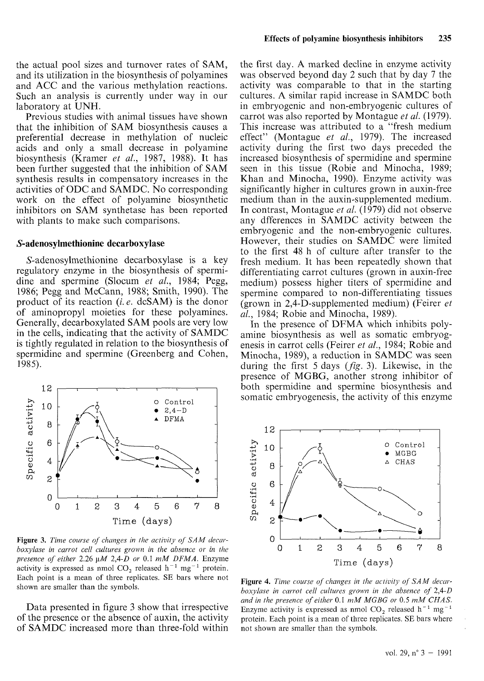the actual pool sizes and turnover rates of SAM, and its utilization in the biosynthesis of polyamines and ACC and the various methylation reactions. Such an analysis is currently under way in our laboratory at UNH.

Previous studies with animal tissues have shown that the inhibition of SAM biosynthesis causes a preferential decrease in methylation of nucleic acids and only a small decrease in polyamine biosynthesis (Kramer *et* al., 1987, 1988). It has been further suggested that the inhibition of SAM synthesis results in compensatory increases in the activities of ODC and SAMDC. No corresponding work on the effect of polyamine biosynthetic inhibitors on SAM synthetase has been reported with plants to make such comparisons.

#### **S-adenosylmethionine decarboxylase**

S-adenosylmethionine decarboxylase is a key regulatory enzyme in the biosynthesis of spermidine and spermine (Slocum *et* al., 1984; Pegg, 1986; Pegg and McCann, 1988; Smith, 1990). The product of its reaction (i. *e.* dcSAM) is the donor of aminopropyl moieties for these polyamines. Generally, decarboxylated SAM pools are very low in the cells, indicating that the activity of SAMDC is tightly regulated in relation to the biosynthesis of spermidine and spermine (Greenberg and Cohen, 1985).



Figure 3. Time course of changes in the activity of SAM decar*boxylase in carrot cell cultures grown in the absence or in the presence of either 2.26 pM 2,4-D or 0.1 mM DFMA.* Enzyme activity is expressed as nmol  $CO_2$  released h<sup>-1</sup> mg<sup>-1</sup> protein. Each point is a mean of three replicates. SE bars where not shown are smaller than the symbols.

Data presented in figure 3 show that irrespective of the presence or the absence of auxin, the activity of SAMDC increased more than three-fold within the first day. A marked decline in enzyme activity was observed beyond day 2 such that by day 7 the activity was comparable to that in the starting cultures. A similar rapid increase in SAMDC both in embryogenic and non-embryogenic cultures of carrot was also reported by Montague *et* al. (1979). This increase was attributed to a "fresh medium effect" (Montague *et* al., 1979). The increased activity during the first two days preceded the increased biosynthesis of spermidine and spermine seen in this tissue (Robie and Minocha, 1989; Khan and Minocha, 1990). Enzyme activity was significantly higher in cultures grown in auxin-free medium than in the auxin-supplemented medium. In contrast, Montague *et* al. (1979) did not observe any dfferences in SAMDC activity between the embryogenic and the non-embryogenic cultures. However, their studies on SAMDC were limited to the first 48 h of culture after transfer to the fresh medium. It has been repeatedly shown that differentiating carrot cultures (grown in auxin-free medium) possess higher titers of spermidine and spermine compared to non-differentiating tissues (grown in 2,4-D-supplemented medium) (Feirer *et*  al., 1984; Robie and Minocha, 1989).

In the presence of DFMA which inhibits polyamine biosynthesis as well as somatic embryogenesis in carrot cells (Feirer *et* al., 1984; Robie and Minocha, 1989), a reduction in SAMDC was seen during the first  $5 \text{ days}$  ( $fig. 3$ ). Likewise, in the presence of MGBG, another strong inhibitor of both spermidine and spermine biosynthesis and somatic embryogenesis, the activity of this enzyme



**Figure 4.** Time course of changes in the activity of SAM decar*boxylase in carrot cell cultures grown in the absence of 2,4-D* and in the presence of either 0.1 mM MGBG or 0.5 mM CHAS. Enzyme activity is expressed as nmol  $CO<sub>2</sub>$  released h<sup>-1</sup> mg<sup>-1</sup> protein. Each point is a mean of three replicates. SE bars where not shown are smaller than the symbols.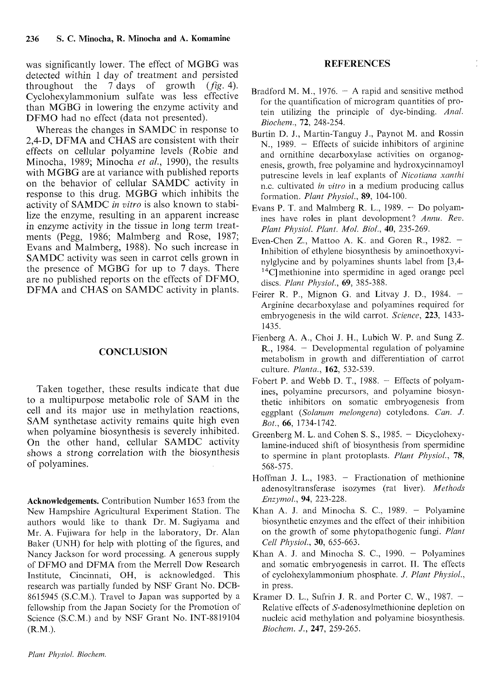was significantly lower. The effect of MGBG was detected within 1 day of treatment and persisted throughout the  $\overline{7}$  days of growth (*fig.* 4). Cyclohexylammonium sulfate was less effective than MGBG in lowering the enzyme activity and DFMO had no effect (data not presented).

Whereas the changes in SAMDC in response to 2,4-D, DFMA and CHAS are consistent with their effects on cellular polyamine levels (Robie and Minocha, 1989; Minocha *et nl.,* 1990), the results with MGBG are at variance with published reports on the behavior of cellular SAMDC activity in response to this drug. MGBG which inhibits the activity of SAMDC in **vitro** is also known to stabilize the enzyme, resulting in an apparent increase in enzyme activity in the tissue in long term treatments (Pegg, 1986; Malmberg and Rose, 1987; Evans and Malmberg, 1988). No such increase in SAMDC activity was seen in carrot cells grown in the presence of MGBG for up to 7 days. There are no published reports on the effects of DFMO, DFMA and CHAS on SAMDC activity in plants.

## **CONCLUSION**

Taken together, these results indicate that due to a multipurpose metabolic role of SAM in the cell and its major use in methylation reactions, SAM synthetase activity remains quite high even when polyamine biosynthesis is severely inhibited. On the other hand, cellular SAMDC activity shows a strong correlation with the biosynthesis of polyamines.

**Acknowledgements.** Contribution Number 1653 from the New Hampshire Agricultural Experiment Station. Thc authors would like to thank Dr. M. Sugiyama and Mr. A. Fujiwara for help in the laboratory, Dr. Alan Baker (UNH) for help with plotting of the figures, and Nancy Jackson for word processing. A generous supply of DFMO and DFMA from the Merrell Dow Research Institute, Cincinnati, OH, is acknowledged. This research was partially funded by NSF Grant No. DCB-8615945 (S.C.M.). Travel to Japan was supported by a fellowship from the Japan Society for the Promotion of Science (S.C.M.) and by NSF Grant No. INT-8819104 (R.M.).

### **REFERENCES**

- Bradford M. M., 1976.  $-$  A rapid and sensitive method for the quantification of microgram quantities of protein utilizing the principle of dye-binding. *Anal. Biocl?enz.,* **72,** 248-254.
- Burtin D. J., Martin-Tanguy J., Paynot M. and Rossin N., 1989. - Effects of suicide inhibitors of arginine and ornithine decarboxylase activities on organogenesis, growth, frec polyaminc and hydroxycinnamoyl putrescine levels in leaf explants of *Nicotiana xanthi* n.c. cultivated *in vitro* in a medium producing callus formation. *Plarzt Plzjisiol.,* **89,** 104- 100.
- Evans P. T. and Malmberg R. L., 1989.  $-$  Do polyamines have roles in plant devolopment? Annu. Rev. *Plant Physiol. Plant. Mol. Biol., 40, 235-269.*
- Even-Chen Z., Mattoo A. K. and Goren R.,  $1982.$  -Inhibition of ethylene biosynthesis by aminoethoxyvinylglycine and by polyamines shunts label from [3,4- $14$ C] methionine into spermidine in aged orange peel discs. *Plarzt Plzysiol.,* **69,** 385-388.
- Feirer R. P., Mignon G. and Litvay J. D., 1984.  $-$ Arginine decarboxylase and polyamines required for embryogenesis in the wild carrot. *Science*, **223**, 1433-1435.
- Fienberg A. A,, Choi J. H., Lubich W. P. and Sung Z.  $R_{1}$ , 1984. - Developmental regulation of polyamine metabolism in growth and differentiation of carrot culture. *Plantn.,* **162,** 532-539.
- Fobert P. and Webb D. T., 1988. Effects of polyamines, polyamine precursors, and polyamine biosynthetic inhibitors on somatic embryogenesis from eggplant *(Solanum melongena)* cotyledons. *Can. J. Bot.,* **66,** 1734-1742.
- Greenberg M. L. and Cohen S. S., 1985. Dicyclohexylamine-induced shift of biosynthesis from spermidine to spermine in plant protoplasts. *Plant Physiol.,* **78,**  568-575.
- Hoffman J. L.,  $1983.$  Fractionation of methionine adcnosyltransferase isozymes (rat liver). *Methods E?zzj~l??o/.,* **94,** 223-228.
- Khan A. J. and Minocha S. C.,  $1989. -$  Polyamine biosynthetic enzymes and the effect of their inhibition on the growth of some phytopathogenic fungi. *Plant Cell P/zysiol.,* **30,** 655-663.
- Khan A. J. and Minocha S. C.,  $1990. -$  Polyamines and somatic embryogenesis in carrot. II. The effects of cyclohexylammonium phosphate. J. *Plant Physiol.,*  in press.
- Kramer D. L., Sufrin J. R. and Porter C. W.,  $1987.$  -Relative effects of S-adenosylmethionine depletion on nucleic acid methylation and polyamine biosynthesis. *Biocl~enz.* J., **247,** 259-265.